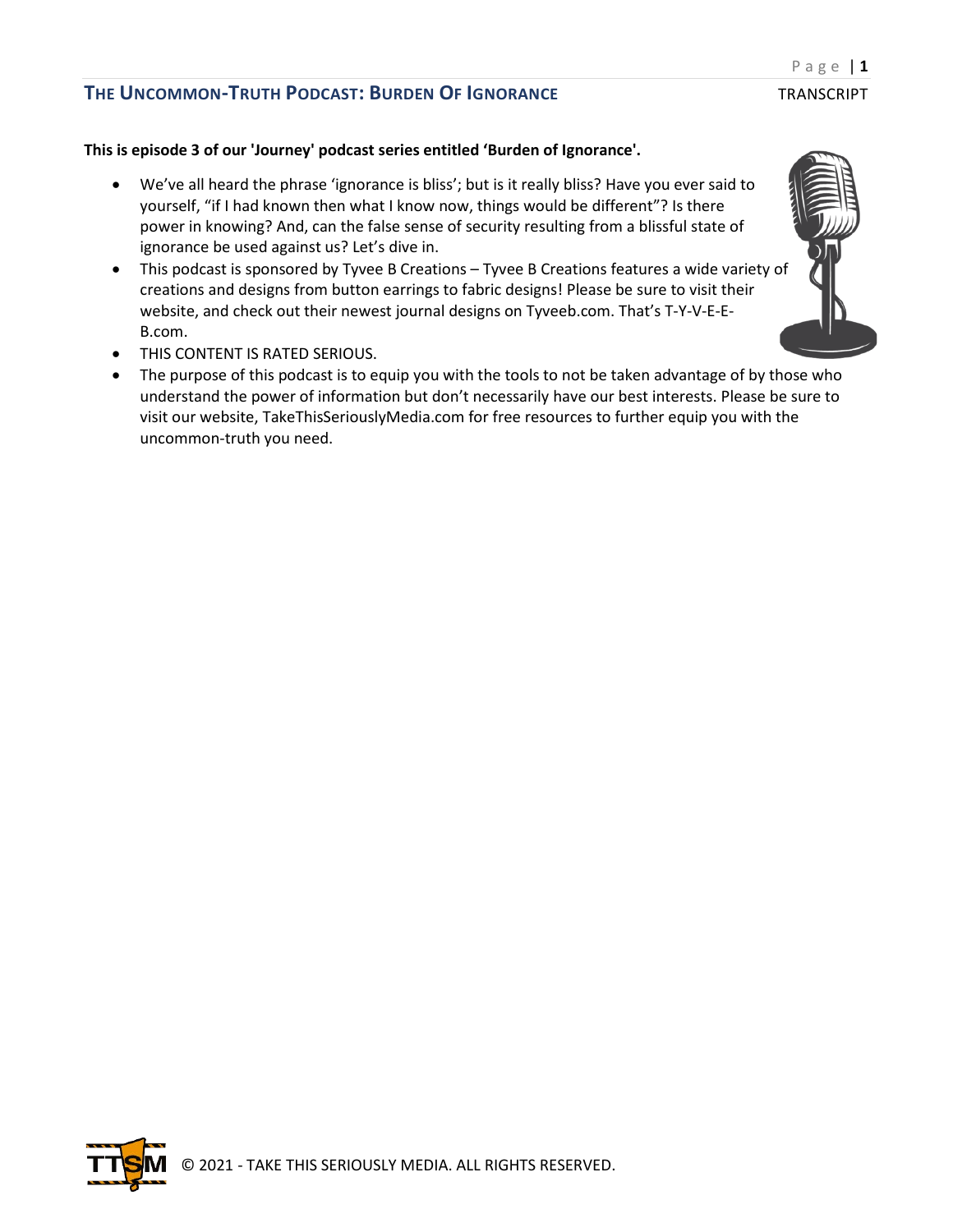#### **This is episode 3 of our 'Journey' podcast series entitled 'Burden of Ignorance'.**

- We've all heard the phrase 'ignorance is bliss'; but is it really bliss? Have you ever said to yourself, "if I had known then what I know now, things would be different"? Is there power in knowing? And, can the false sense of security resulting from a blissful state of ignorance be used against us? Let's dive in.
- This podcast is sponsored by Tyvee B Creations Tyvee B Creations features a wide variety of creations and designs from button earrings to fabric designs! Please be sure to visit their website, and check out their newest journal designs on Tyveeb.com. That's T-Y-V-E-E-B.com.
- THIS CONTENT IS RATED SERIOUS.
- The purpose of this podcast is to equip you with the tools to not be taken advantage of by those who understand the power of information but don't necessarily have our best interests. Please be sure to visit our website, TakeThisSeriouslyMedia.com for free resources to further equip you with the uncommon-truth you need.

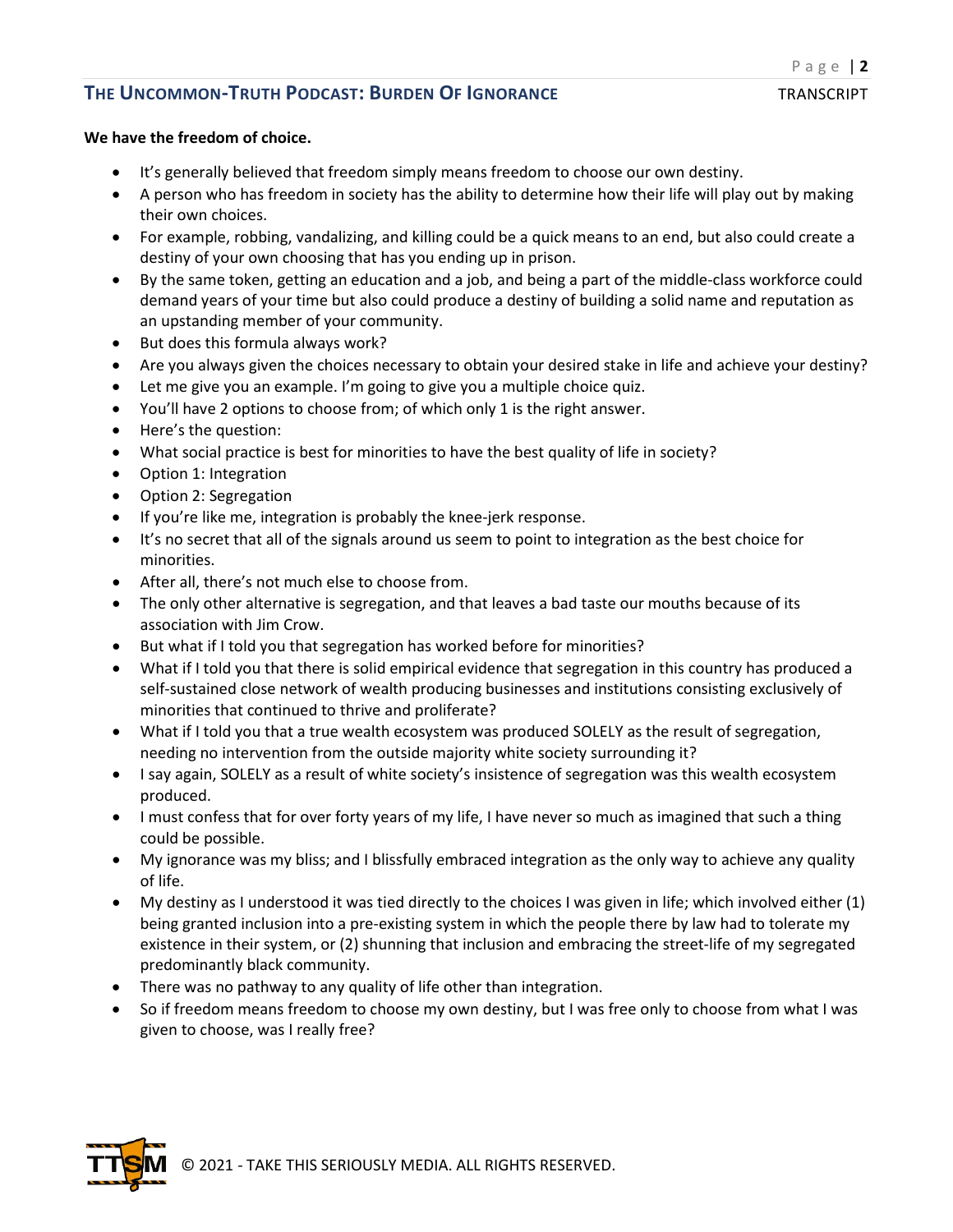#### **We have the freedom of choice.**

- It's generally believed that freedom simply means freedom to choose our own destiny.
- A person who has freedom in society has the ability to determine how their life will play out by making their own choices.
- For example, robbing, vandalizing, and killing could be a quick means to an end, but also could create a destiny of your own choosing that has you ending up in prison.
- By the same token, getting an education and a job, and being a part of the middle-class workforce could demand years of your time but also could produce a destiny of building a solid name and reputation as an upstanding member of your community.
- But does this formula always work?
- Are you always given the choices necessary to obtain your desired stake in life and achieve your destiny?
- Let me give you an example. I'm going to give you a multiple choice quiz.
- You'll have 2 options to choose from; of which only 1 is the right answer.
- Here's the question:
- What social practice is best for minorities to have the best quality of life in society?
- Option 1: Integration
- Option 2: Segregation
- If you're like me, integration is probably the knee-jerk response.
- It's no secret that all of the signals around us seem to point to integration as the best choice for minorities.
- After all, there's not much else to choose from.
- The only other alternative is segregation, and that leaves a bad taste our mouths because of its association with Jim Crow.
- But what if I told you that segregation has worked before for minorities?
- What if I told you that there is solid empirical evidence that segregation in this country has produced a self-sustained close network of wealth producing businesses and institutions consisting exclusively of minorities that continued to thrive and proliferate?
- What if I told you that a true wealth ecosystem was produced SOLELY as the result of segregation, needing no intervention from the outside majority white society surrounding it?
- I say again, SOLELY as a result of white society's insistence of segregation was this wealth ecosystem produced.
- I must confess that for over forty years of my life, I have never so much as imagined that such a thing could be possible.
- My ignorance was my bliss; and I blissfully embraced integration as the only way to achieve any quality of life.
- My destiny as I understood it was tied directly to the choices I was given in life; which involved either (1) being granted inclusion into a pre-existing system in which the people there by law had to tolerate my existence in their system, or (2) shunning that inclusion and embracing the street-life of my segregated predominantly black community.
- There was no pathway to any quality of life other than integration.
- So if freedom means freedom to choose my own destiny, but I was free only to choose from what I was given to choose, was I really free?

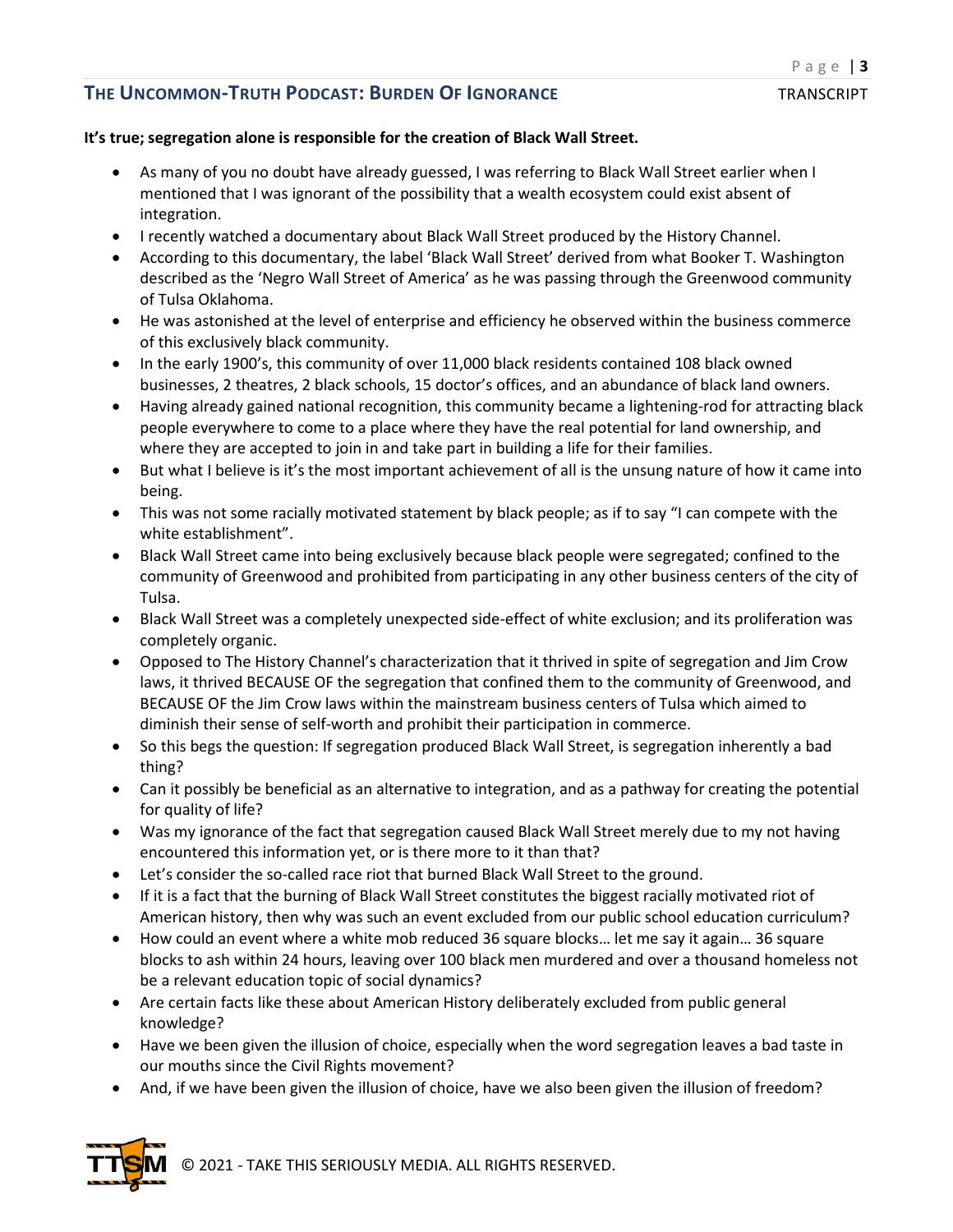#### **It's true; segregation alone is responsible for the creation of Black Wall Street.**

- As many of you no doubt have already guessed, I was referring to Black Wall Street earlier when I mentioned that I was ignorant of the possibility that a wealth ecosystem could exist absent of integration.
- I recently watched a documentary about Black Wall Street produced by the History Channel.
- According to this documentary, the label 'Black Wall Street' derived from what Booker T. Washington described as the 'Negro Wall Street of America' as he was passing through the Greenwood community of Tulsa Oklahoma.
- He was astonished at the level of enterprise and efficiency he observed within the business commerce of this exclusively black community.
- In the early 1900's, this community of over 11,000 black residents contained 108 black owned businesses, 2 theatres, 2 black schools, 15 doctor's offices, and an abundance of black land owners.
- Having already gained national recognition, this community became a lightening-rod for attracting black people everywhere to come to a place where they have the real potential for land ownership, and where they are accepted to join in and take part in building a life for their families.
- But what I believe is it's the most important achievement of all is the unsung nature of how it came into being.
- This was not some racially motivated statement by black people; as if to say "I can compete with the white establishment".
- Black Wall Street came into being exclusively because black people were segregated; confined to the community of Greenwood and prohibited from participating in any other business centers of the city of Tulsa.
- Black Wall Street was a completely unexpected side-effect of white exclusion; and its proliferation was completely organic.
- Opposed to The History Channel's characterization that it thrived in spite of segregation and Jim Crow laws, it thrived BECAUSE OF the segregation that confined them to the community of Greenwood, and BECAUSE OF the Jim Crow laws within the mainstream business centers of Tulsa which aimed to diminish their sense of self-worth and prohibit their participation in commerce.
- So this begs the question: If segregation produced Black Wall Street, is segregation inherently a bad thing?
- Can it possibly be beneficial as an alternative to integration, and as a pathway for creating the potential for quality of life?
- Was my ignorance of the fact that segregation caused Black Wall Street merely due to my not having encountered this information yet, or is there more to it than that?
- Let's consider the so-called race riot that burned Black Wall Street to the ground.
- If it is a fact that the burning of Black Wall Street constitutes the biggest racially motivated riot of American history, then why was such an event excluded from our public school education curriculum?
- How could an event where a white mob reduced 36 square blocks… let me say it again… 36 square blocks to ash within 24 hours, leaving over 100 black men murdered and over a thousand homeless not be a relevant education topic of social dynamics?
- Are certain facts like these about American History deliberately excluded from public general knowledge?
- Have we been given the illusion of choice, especially when the word segregation leaves a bad taste in our mouths since the Civil Rights movement?
- And, if we have been given the illusion of choice, have we also been given the illusion of freedom?



© 2021 - TAKE THIS SERIOUSLY MEDIA. ALL RIGHTS RESERVED.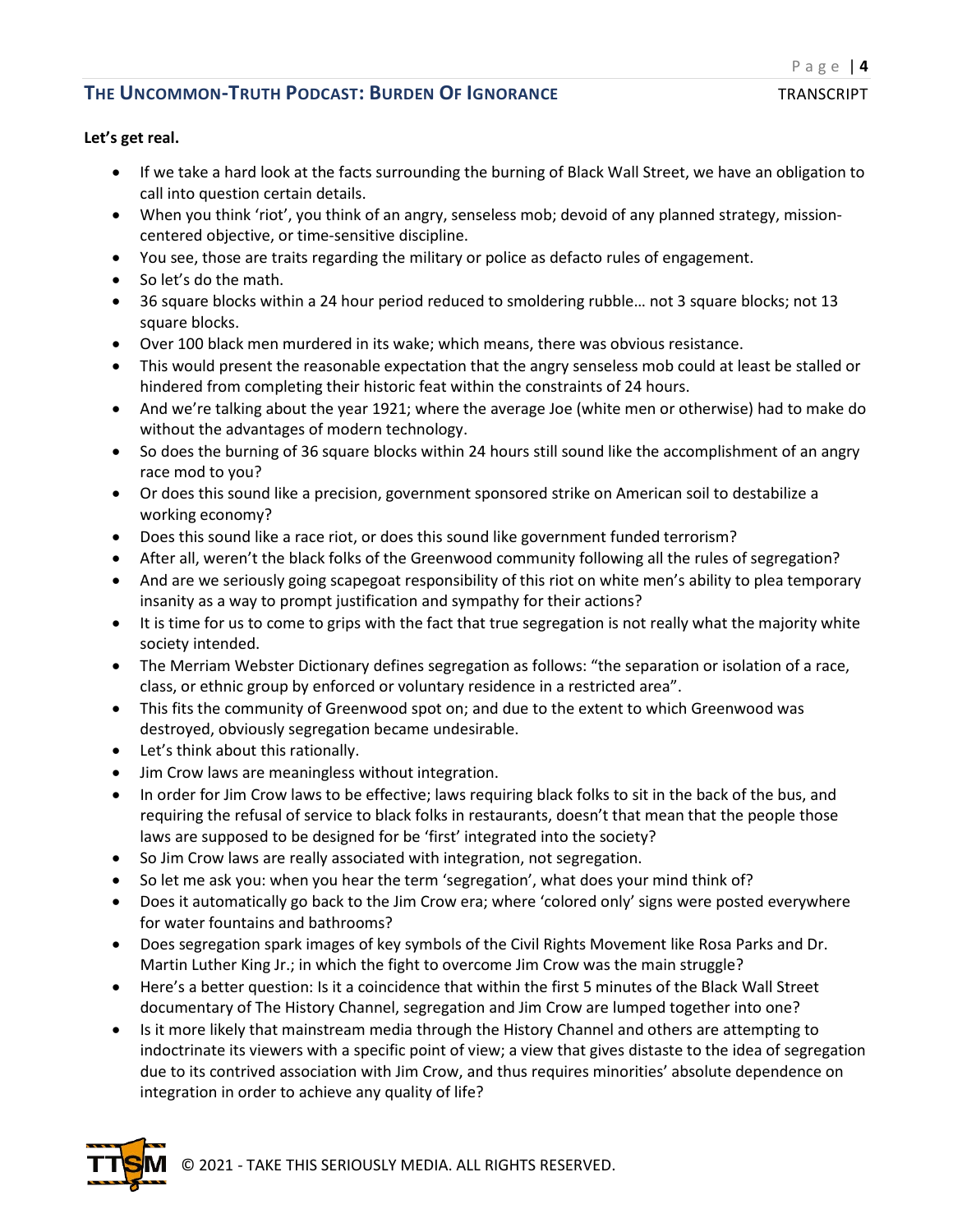### **Let's get real.**

- If we take a hard look at the facts surrounding the burning of Black Wall Street, we have an obligation to call into question certain details.
- When you think 'riot', you think of an angry, senseless mob; devoid of any planned strategy, missioncentered objective, or time-sensitive discipline.
- You see, those are traits regarding the military or police as defacto rules of engagement.
- So let's do the math.
- 36 square blocks within a 24 hour period reduced to smoldering rubble… not 3 square blocks; not 13 square blocks.
- Over 100 black men murdered in its wake; which means, there was obvious resistance.
- This would present the reasonable expectation that the angry senseless mob could at least be stalled or hindered from completing their historic feat within the constraints of 24 hours.
- And we're talking about the year 1921; where the average Joe (white men or otherwise) had to make do without the advantages of modern technology.
- So does the burning of 36 square blocks within 24 hours still sound like the accomplishment of an angry race mod to you?
- Or does this sound like a precision, government sponsored strike on American soil to destabilize a working economy?
- Does this sound like a race riot, or does this sound like government funded terrorism?
- After all, weren't the black folks of the Greenwood community following all the rules of segregation?
- And are we seriously going scapegoat responsibility of this riot on white men's ability to plea temporary insanity as a way to prompt justification and sympathy for their actions?
- It is time for us to come to grips with the fact that true segregation is not really what the majority white society intended.
- The Merriam Webster Dictionary defines segregation as follows: "the separation or isolation of a race, class, or ethnic group by enforced or voluntary residence in a restricted area".
- This fits the community of Greenwood spot on; and due to the extent to which Greenwood was destroyed, obviously segregation became undesirable.
- Let's think about this rationally.
- Jim Crow laws are meaningless without integration.
- In order for Jim Crow laws to be effective; laws requiring black folks to sit in the back of the bus, and requiring the refusal of service to black folks in restaurants, doesn't that mean that the people those laws are supposed to be designed for be 'first' integrated into the society?
- So Jim Crow laws are really associated with integration, not segregation.
- So let me ask you: when you hear the term 'segregation', what does your mind think of?
- Does it automatically go back to the Jim Crow era; where 'colored only' signs were posted everywhere for water fountains and bathrooms?
- Does segregation spark images of key symbols of the Civil Rights Movement like Rosa Parks and Dr. Martin Luther King Jr.; in which the fight to overcome Jim Crow was the main struggle?
- Here's a better question: Is it a coincidence that within the first 5 minutes of the Black Wall Street documentary of The History Channel, segregation and Jim Crow are lumped together into one?
- Is it more likely that mainstream media through the History Channel and others are attempting to indoctrinate its viewers with a specific point of view; a view that gives distaste to the idea of segregation due to its contrived association with Jim Crow, and thus requires minorities' absolute dependence on integration in order to achieve any quality of life?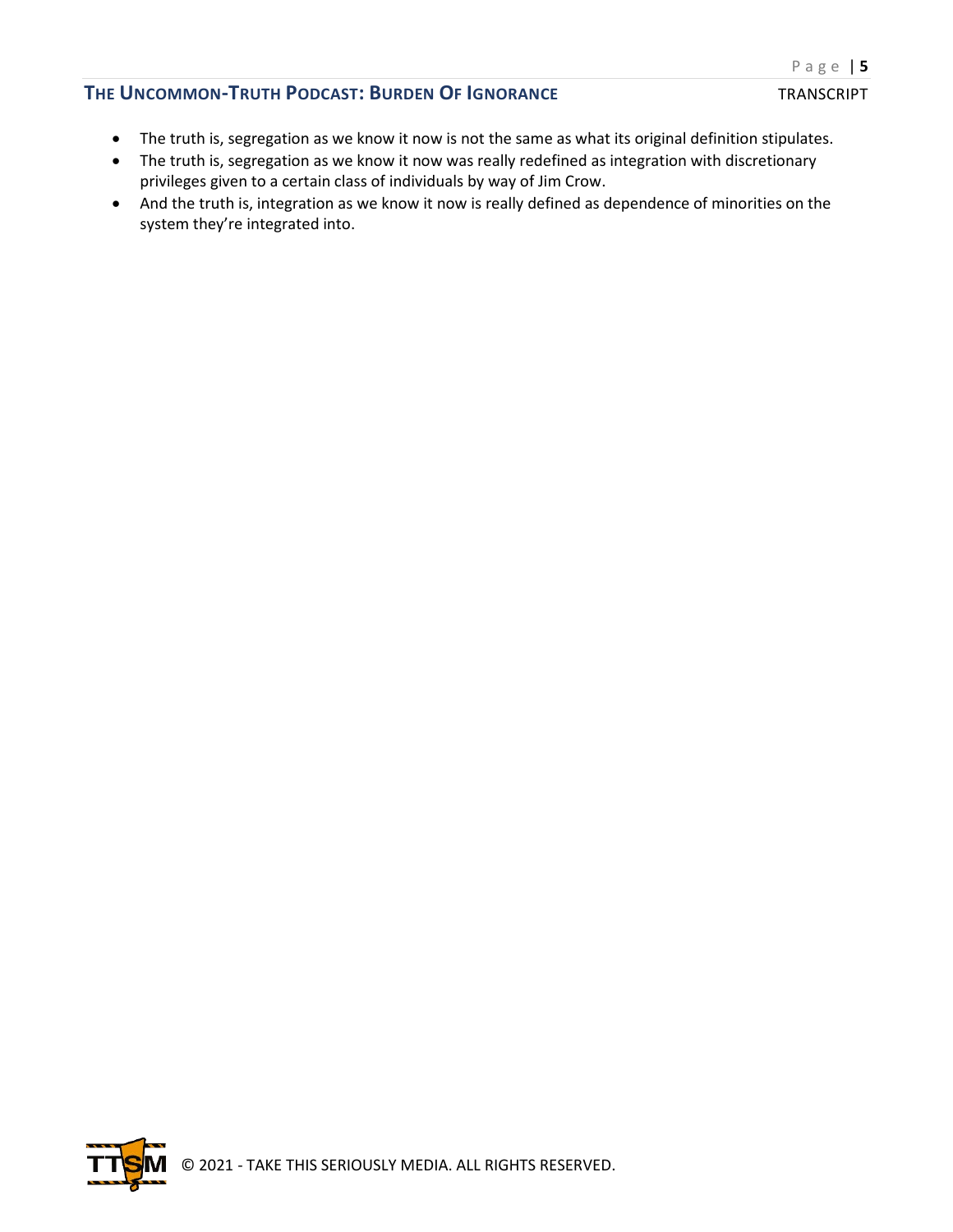- The truth is, segregation as we know it now is not the same as what its original definition stipulates.
- The truth is, segregation as we know it now was really redefined as integration with discretionary privileges given to a certain class of individuals by way of Jim Crow.
- And the truth is, integration as we know it now is really defined as dependence of minorities on the system they're integrated into.